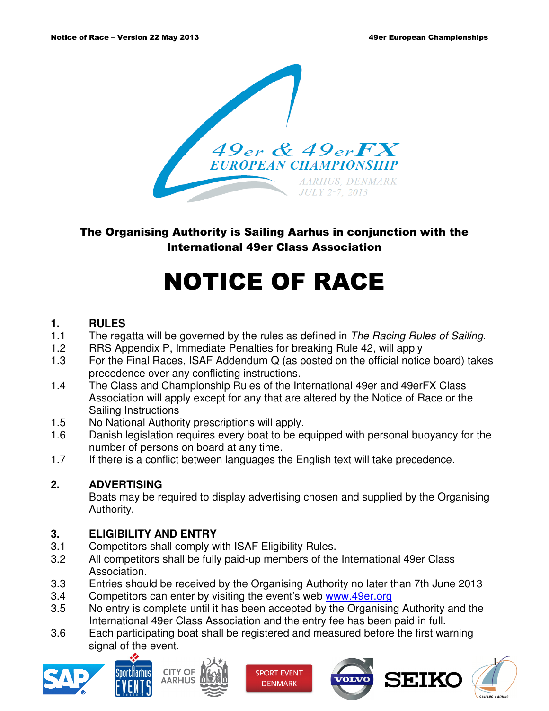

The Organising Authority is Sailing Aarhus in conjunction with the International 49er Class Association

# NOTICE OF RACE

# **1. RULES**

- 1.1 The regatta will be governed by the rules as defined in The Racing Rules of Sailing.
- 1.2 RRS Appendix P, Immediate Penalties for breaking Rule 42, will apply
- 1.3 For the Final Races, ISAF Addendum Q (as posted on the official notice board) takes precedence over any conflicting instructions.
- 1.4 The Class and Championship Rules of the International 49er and 49erFX Class Association will apply except for any that are altered by the Notice of Race or the Sailing Instructions
- 1.5 No National Authority prescriptions will apply.
- 1.6 Danish legislation requires every boat to be equipped with personal buoyancy for the number of persons on board at any time.
- 1.7 If there is a conflict between languages the English text will take precedence.

# **2. ADVERTISING**

 Boats may be required to display advertising chosen and supplied by the Organising Authority.

# **3. ELIGIBILITY AND ENTRY**

- 3.1 Competitors shall comply with ISAF Eligibility Rules.
- 3.2 All competitors shall be fully paid-up members of the International 49er Class Association.
- 3.3 Entries should be received by the Organising Authority no later than 7th June 2013
- 3.4 Competitors can enter by visiting the event's web www.49er.org
- 3.5 No entry is complete until it has been accepted by the Organising Authority and the International 49er Class Association and the entry fee has been paid in full.
- 3.6 Each participating boat shall be registered and measured before the first warning signal of the event.







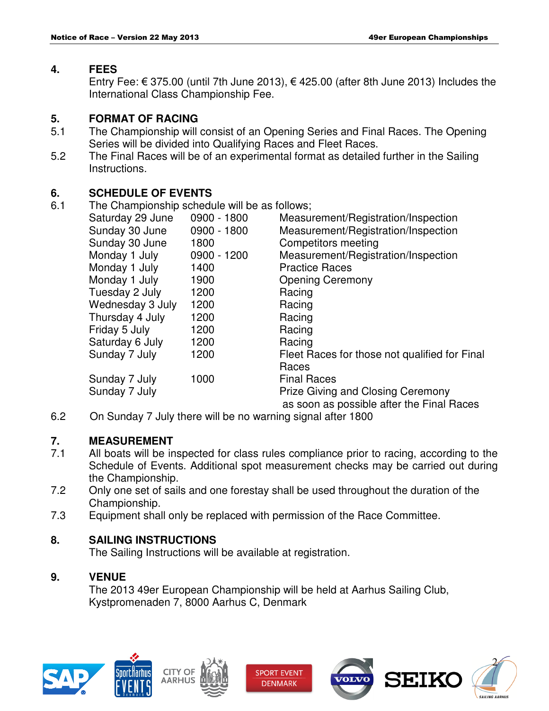#### **4. FEES**

Entry Fee:  $\epsilon$  375.00 (until 7th June 2013),  $\epsilon$  425.00 (after 8th June 2013) Includes the International Class Championship Fee.

## **5. FORMAT OF RACING**

- 5.1 The Championship will consist of an Opening Series and Final Races. The Opening Series will be divided into Qualifying Races and Fleet Races.
- 5.2 The Final Races will be of an experimental format as detailed further in the Sailing Instructions.

# **6. SCHEDULE OF EVENTS**

6.1 The Championship schedule will be as follows;

| Saturday 29 June | 0900 - 1800 | Measurement/Registration/Inspection           |
|------------------|-------------|-----------------------------------------------|
| Sunday 30 June   | 0900 - 1800 | Measurement/Registration/Inspection           |
| Sunday 30 June   | 1800        | Competitors meeting                           |
| Monday 1 July    | 0900 - 1200 | Measurement/Registration/Inspection           |
| Monday 1 July    | 1400        | <b>Practice Races</b>                         |
| Monday 1 July    | 1900        | <b>Opening Ceremony</b>                       |
| Tuesday 2 July   | 1200        | Racing                                        |
| Wednesday 3 July | 1200        | Racing                                        |
| Thursday 4 July  | 1200        | Racing                                        |
| Friday 5 July    | 1200        | Racing                                        |
| Saturday 6 July  | 1200        | Racing                                        |
| Sunday 7 July    | 1200        | Fleet Races for those not qualified for Final |
|                  |             | Races                                         |
| Sunday 7 July    | 1000        | <b>Final Races</b>                            |
| Sunday 7 July    |             | <b>Prize Giving and Closing Ceremony</b>      |
|                  |             | as soon as possible after the Final Races     |

6.2 On Sunday 7 July there will be no warning signal after 1800

# **7. MEASUREMENT**

- 7.1 All boats will be inspected for class rules compliance prior to racing, according to the Schedule of Events. Additional spot measurement checks may be carried out during the Championship.
- 7.2 Only one set of sails and one forestay shall be used throughout the duration of the Championship.
- 7.3 Equipment shall only be replaced with permission of the Race Committee.

# **8. SAILING INSTRUCTIONS**

The Sailing Instructions will be available at registration.

# **9. VENUE**

 The 2013 49er European Championship will be held at Aarhus Sailing Club, Kystpromenaden 7, 8000 Aarhus C, Denmark







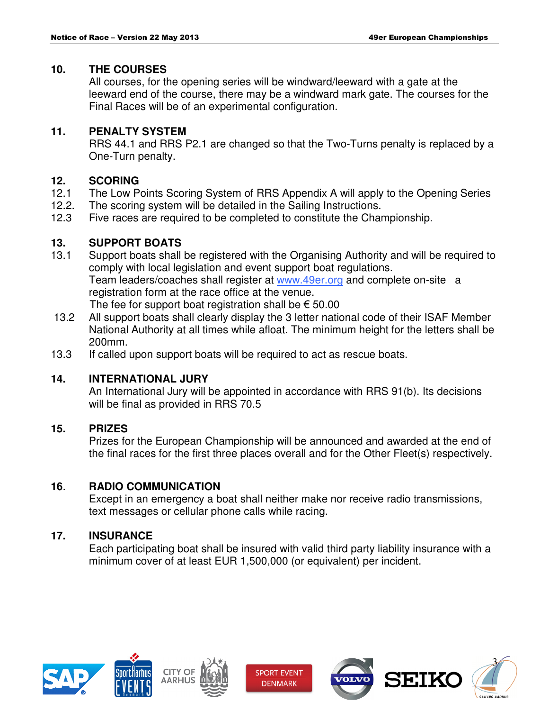#### **10. THE COURSES**

 All courses, for the opening series will be windward/leeward with a gate at the leeward end of the course, there may be a windward mark gate. The courses for the Final Races will be of an experimental configuration.

#### **11. PENALTY SYSTEM**

 RRS 44.1 and RRS P2.1 are changed so that the Two-Turns penalty is replaced by a One-Turn penalty.

## **12. SCORING**

- 12.1 The Low Points Scoring System of RRS Appendix A will apply to the Opening Series
- 12.2. The scoring system will be detailed in the Sailing Instructions.
- 12.3 Five races are required to be completed to constitute the Championship.

## **13. SUPPORT BOATS**

- 13.1 Support boats shall be registered with the Organising Authority and will be required to comply with local legislation and event support boat regulations. Team leaders/coaches shall register at www.49er.org and complete on-site a registration form at the race office at the venue. The fee for support boat registration shall be  $\epsilon$  50.00
- 13.2 All support boats shall clearly display the 3 letter national code of their ISAF Member National Authority at all times while afloat. The minimum height for the letters shall be 200mm.
- 13.3 If called upon support boats will be required to act as rescue boats.

# **14. INTERNATIONAL JURY**

 An International Jury will be appointed in accordance with RRS 91(b). Its decisions will be final as provided in RRS 70.5

# **15. PRIZES**

 Prizes for the European Championship will be announced and awarded at the end of the final races for the first three places overall and for the Other Fleet(s) respectively.

#### **16**. **RADIO COMMUNICATION**

Except in an emergency a boat shall neither make nor receive radio transmissions, text messages or cellular phone calls while racing.

#### **17. INSURANCE**

Each participating boat shall be insured with valid third party liability insurance with a minimum cover of at least EUR 1,500,000 (or equivalent) per incident.











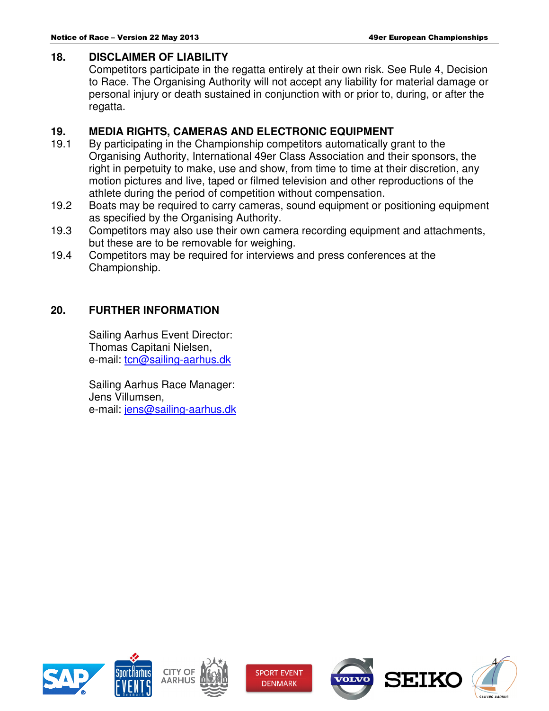#### **18. DISCLAIMER OF LIABILITY**

 Competitors participate in the regatta entirely at their own risk. See Rule 4, Decision to Race. The Organising Authority will not accept any liability for material damage or personal injury or death sustained in conjunction with or prior to, during, or after the regatta.

## **19. MEDIA RIGHTS, CAMERAS AND ELECTRONIC EQUIPMENT**

- 19.1 By participating in the Championship competitors automatically grant to the Organising Authority, International 49er Class Association and their sponsors, the right in perpetuity to make, use and show, from time to time at their discretion, any motion pictures and live, taped or filmed television and other reproductions of the athlete during the period of competition without compensation.
- 19.2 Boats may be required to carry cameras, sound equipment or positioning equipment as specified by the Organising Authority.
- 19.3 Competitors may also use their own camera recording equipment and attachments, but these are to be removable for weighing.
- 19.4 Competitors may be required for interviews and press conferences at the Championship.

## **20. FURTHER INFORMATION**

 Sailing Aarhus Event Director: Thomas Capitani Nielsen, e-mail: tcn@sailing-aarhus.dk

 Sailing Aarhus Race Manager: Jens Villumsen, e-mail: jens@sailing-aarhus.dk









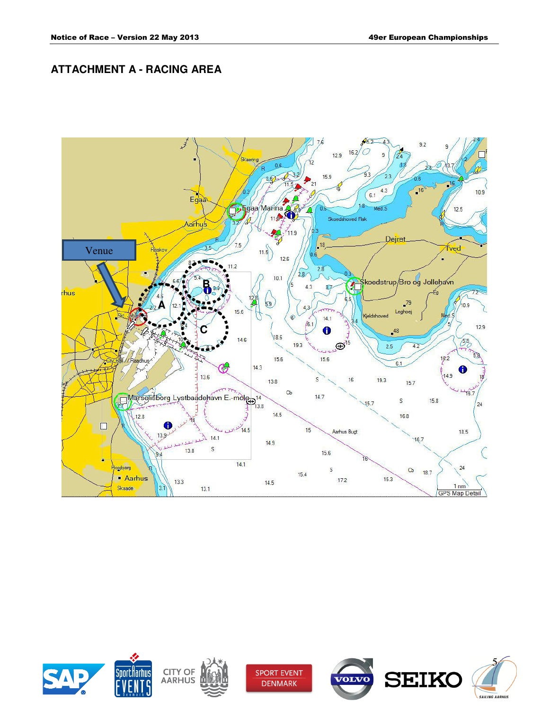## **ATTACHMENT A - RACING AREA**









**SPORT EVENT DENMARK**